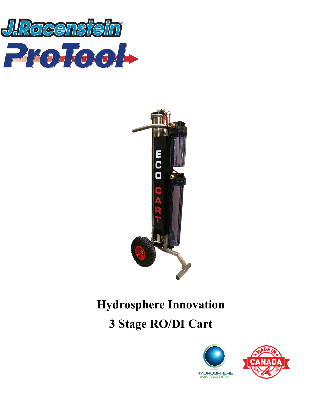



# **Hydrosphere Innovation 3 Stage RO/DI Cart**



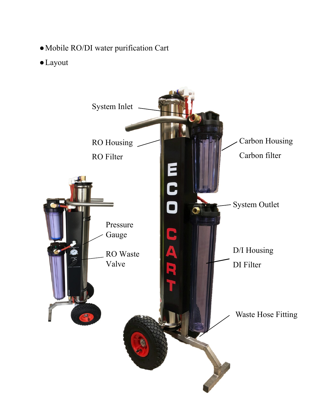- ●Mobile RO/DI water purification Cart
- ●Layout

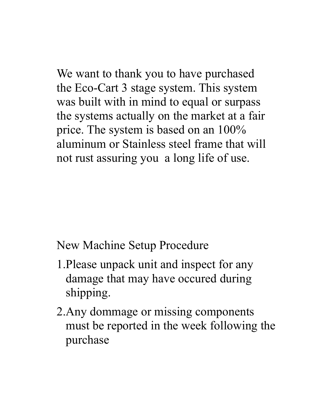We want to thank you to have purchased the Eco-Cart 3 stage system. This system was built with in mind to equal or surpass the systems actually on the market at a fair price. The system is based on an 100% aluminum or Stainless steel frame that will not rust assuring you a long life of use.

New Machine Setup Procedure

- 1.Please unpack unit and inspect for any damage that may have occured during shipping.
- 2.Any dommage or missing components must be reported in the week following the purchase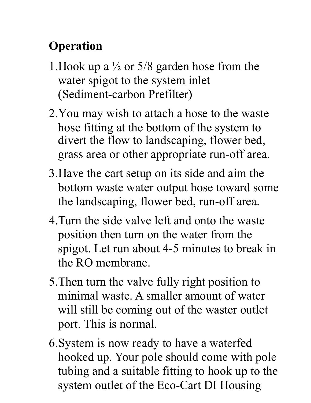### **Operation**

- 1. Hook up a  $\frac{1}{2}$  or 5/8 garden hose from the water spigot to the system inlet (Sediment-carbon Prefilter)
- 2.You may wish to attach a hose to the waste hose fitting at the bottom of the system to divert the flow to landscaping, flower bed, grass area or other appropriate run-off area.
- 3.Have the cart setup on its side and aim the bottom waste water output hose toward some the landscaping, flower bed, run-off area.
- 4.Turn the side valve left and onto the waste position then turn on the water from the spigot. Let run about 4-5 minutes to break in the RO membrane.
- 5.Then turn the valve fully right position to minimal waste. A smaller amount of water will still be coming out of the waster outlet port. This is normal.
- 6.System is now ready to have a waterfed hooked up. Your pole should come with pole tubing and a suitable fitting to hook up to the system outlet of the Eco-Cart DI Housing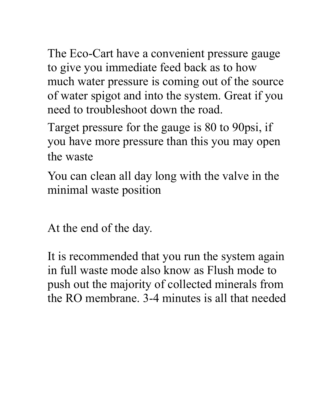The Eco-Cart have a convenient pressure gauge to give you immediate feed back as to how much water pressure is coming out of the source of water spigot and into the system. Great if you need to troubleshoot down the road.

Target pressure for the gauge is 80 to 90psi, if you have more pressure than this you may open the waste

You can clean all day long with the valve in the minimal waste position

At the end of the day.

It is recommended that you run the system again in full waste mode also know as Flush mode to push out the majority of collected minerals from the RO membrane. 3-4 minutes is all that needed